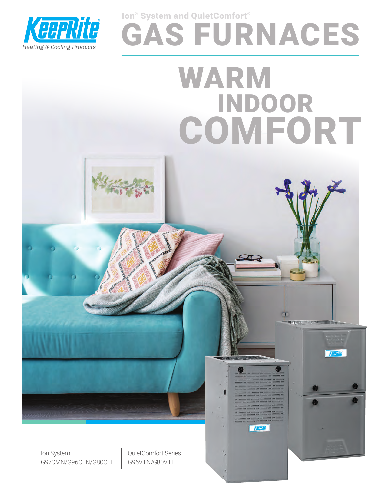

# GAS FURNACES WARM INDOOR **COMFORT** Ion® System and QuietComfort®



Ion System G97CMN/G96CTN/G80CTL QuietComfort Series G96VTN/G80VTL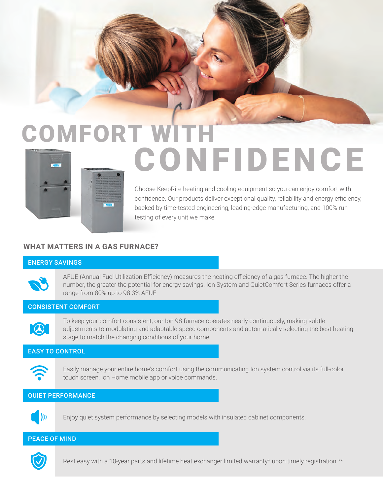

# COMFORT WITH **CONFIDENCE**

Choose KeepRite heating and cooling equipment so you can enjoy comfort with confidence. Our products deliver exceptional quality, reliability and energy efficiency, backed by time-tested engineering, leading-edge manufacturing, and 100% run testing of every unit we make.

## **WHAT MATTERS IN A GAS FURNACE?**

#### ENERGY SAVINGS



AFUE (Annual Fuel Utilization Efficiency) measures the heating efficiency of a gas furnace. The higher the number, the greater the potential for energy savings. Ion System and QuietComfort Series furnaces offer a range from 80% up to 98.3% AFUE.

#### CONSISTENT COMFORT



To keep your comfort consistent, our Ion 98 furnace operates nearly continuously, making subtle adjustments to modulating and adaptable-speed components and automatically selecting the best heating stage to match the changing conditions of your home.

#### EASY TO CONTROL



Easily manage your entire home's comfort using the communicating Ion system control via its full-color touch screen, Ion Home mobile app or voice commands.

#### QUIET PERFORMANCE



Enjoy quiet system performance by selecting models with insulated cabinet components.

#### PEACE OF MIND



Rest easy with a 10-year parts and lifetime heat exchanger limited warranty\* upon timely registration.\*\*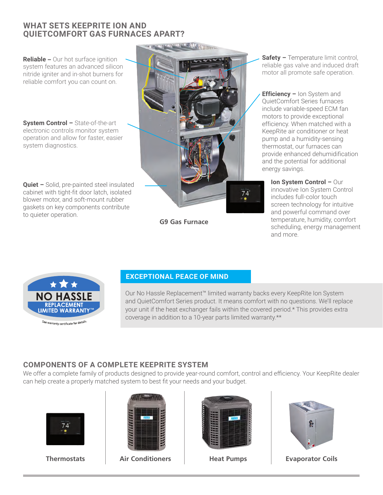## **WHAT SETS KEEPRITE ION AND QUIETCOMFORT GAS FURNACES APART?**

**Reliable** – Our hot surface ignition system features an advanced silicon nitride igniter and in-shot burners for reliable comfort you can count on.

**System Control –** State-of-the-art electronic controls monitor system operation and allow for faster, easier system diagnostics.

**Quiet –** Solid, pre-painted steel insulated cabinet with tight-fit door latch, isolated blower motor, and soft-mount rubber gaskets on key components contribute to quieter operation.



**G9 Gas Furnace**

**Safety –** Temperature limit control, reliable gas valve and induced draft motor all promote safe operation.

**Efficiency – Ion System and** QuietComfort Series furnaces include variable-speed ECM fan motors to provide exceptional efficiency. When matched with a KeepRite air conditioner or heat pump and a humidity-sensing thermostat, our furnaces can provide enhanced dehumidification and the potential for additional energy savings.

**Ion System Control –** Our innovative Ion System Control includes full-color touch screen technology for intuitive and powerful command over temperature, humidity, comfort scheduling, energy management and more.



#### **EXCEPTIONAL PEACE OF MIND**

Our No Hassle Replacement™ limited warranty backs every KeepRite Ion System and QuietComfort Series product. It means comfort with no questions. We'll replace your unit if the heat exchanger fails within the covered period.\* This provides extra coverage in addition to a 10-year parts limited warranty.\*\*

# **COMPONENTS OF A COMPLETE KEEPRITE SYSTEM**

We offer a complete family of products designed to provide year-round comfort, control and efficiency. Your KeepRite dealer can help create a properly matched system to best fit your needs and your budget.





**Thermostats Air Conditioners Heat Pumps Evaporator Coils**